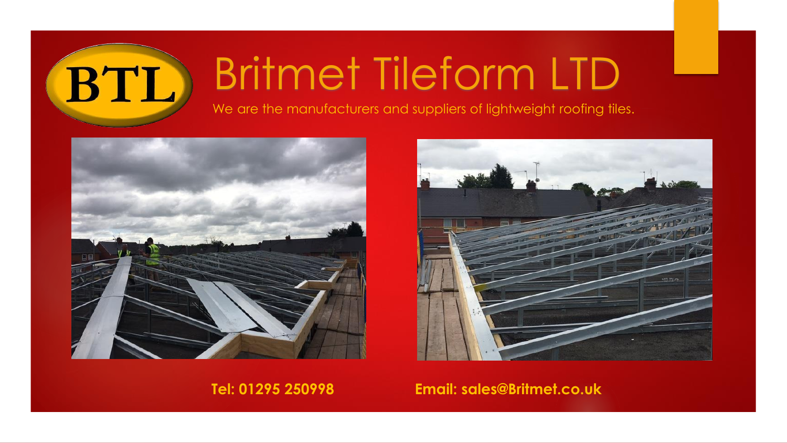## Britmet Tileform LTD

We are the manufacturers and suppliers of lightweight roofing tiles.



BTL



**Tel: 01295 250998 Email: sales@Britmet.co.uk**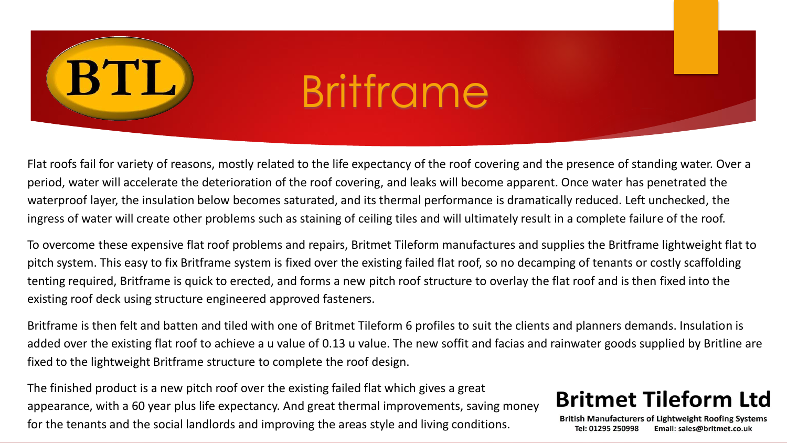# BTL

## Britframe

Flat roofs fail for variety of reasons, mostly related to the life expectancy of the roof covering and the presence of standing water. Over a period, water will accelerate the deterioration of the roof covering, and leaks will become apparent. Once water has penetrated the waterproof layer, the insulation below becomes saturated, and its thermal performance is dramatically reduced. Left unchecked, the ingress of water will create other problems such as staining of ceiling tiles and will ultimately result in a complete failure of the roof.

To overcome these expensive flat roof problems and repairs, Britmet Tileform manufactures and supplies the Britframe lightweight flat to pitch system. This easy to fix Britframe system is fixed over the existing failed flat roof, so no decamping of tenants or costly scaffolding tenting required, Britframe is quick to erected, and forms a new pitch roof structure to overlay the flat roof and is then fixed into the existing roof deck using structure engineered approved fasteners.

Britframe is then felt and batten and tiled with one of Britmet Tileform 6 profiles to suit the clients and planners demands. Insulation is added over the existing flat roof to achieve a u value of 0.13 u value. The new soffit and facias and rainwater goods supplied by Britline are fixed to the lightweight Britframe structure to complete the roof design.

The finished product is a new pitch roof over the existing failed flat which gives a great appearance, with a 60 year plus life expectancy. And great thermal improvements, saving money for the tenants and the social landlords and improving the areas style and living conditions.

### **Britmet Tileform Ltd**

**British Manufacturers of Lightweight Roofing Systems** Tel: 01295 250998 Email: sales@britmet.co.uk